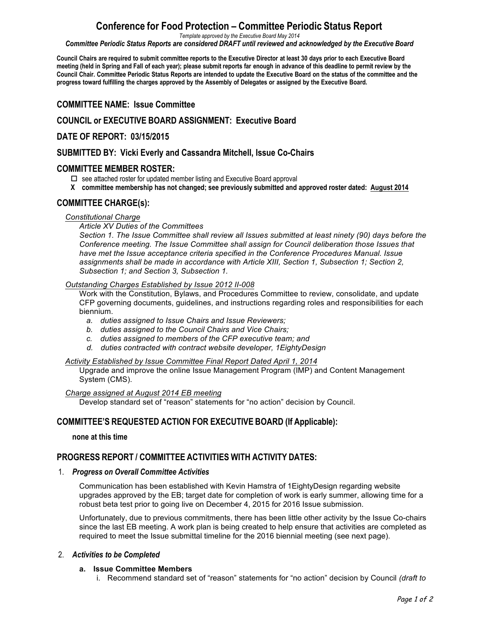# **Conference for Food Protection – Committee Periodic Status Report**

*Template approved by the Executive Board May 2014*

*Committee Periodic Status Reports are considered DRAFT until reviewed and acknowledged by the Executive Board*

Council Chairs are required to submit committee reports to the Executive Director at least 30 days prior to each Executive Board meeting (held in Spring and Fall of each vear); please submit reports far enough in advance of this deadline to permit review by the Council Chair. Committee Periodic Status Reports are intended to update the Executive Board on the status of the committee and the **progress toward fulfilling the charges approved by the Assembly of Delegates or assigned by the Executive Board.**

# **COMMITTEE NAME: Issue Committee**

# **COUNCIL or EXECUTIVE BOARD ASSIGNMENT: Executive Board**

# **DATE OF REPORT: 03/15/2015**

## **SUBMITTED BY: Vicki Everly and Cassandra Mitchell, Issue Co-Chairs**

# **COMMITTEE MEMBER ROSTER:**

 $\square$  see attached roster for updated member listing and Executive Board approval

**X committee membership has not changed; see previously submitted and approved roster dated: August 2014** 

# **COMMITTEE CHARGE(s):**

## *Constitutional Charge*

*Article XV Duties of the Committees* 

*Section 1. The Issue Committee shall review all Issues submitted at least ninety (90) days before the Conference meeting. The Issue Committee shall assign for Council deliberation those Issues that have met the Issue acceptance criteria specified in the Conference Procedures Manual. Issue assignments shall be made in accordance with Article XIII, Section 1, Subsection 1; Section 2, Subsection 1; and Section 3, Subsection 1.*

### *Outstanding Charges Established by Issue 2012 II-008*

Work with the Constitution, Bylaws, and Procedures Committee to review, consolidate, and update CFP governing documents, guidelines, and instructions regarding roles and responsibilities for each biennium.

- *a. duties assigned to Issue Chairs and Issue Reviewers;*
- *b. duties assigned to the Council Chairs and Vice Chairs;*
- *c. duties assigned to members of the CFP executive team; and*
- *d. duties contracted with contract website developer, 1EightyDesign*

#### *Activity Established by Issue Committee Final Report Dated April 1, 2014*

Upgrade and improve the online Issue Management Program (IMP) and Content Management System (CMS).

#### *Charge assigned at August 2014 EB meeting*

Develop standard set of "reason" statements for "no action" decision by Council.

# **COMMITTEE'S REQUESTED ACTION FOR EXECUTIVE BOARD (If Applicable):**

**none at this time**

# **PROGRESS REPORT / COMMITTEE ACTIVITIES WITH ACTIVITY DATES:**

## 1. *Progress on Overall Committee Activities*

Communication has been established with Kevin Hamstra of 1EightyDesign regarding website upgrades approved by the EB; target date for completion of work is early summer, allowing time for a robust beta test prior to going live on December 4, 2015 for 2016 Issue submission.

Unfortunately, due to previous commitments, there has been little other activity by the Issue Co-chairs since the last EB meeting. A work plan is being created to help ensure that activities are completed as required to meet the Issue submittal timeline for the 2016 biennial meeting (see next page).

## 2. *Activities to be Completed*

## **a. Issue Committee Members**

i. Recommend standard set of "reason" statements for "no action" decision by Council *(draft to*